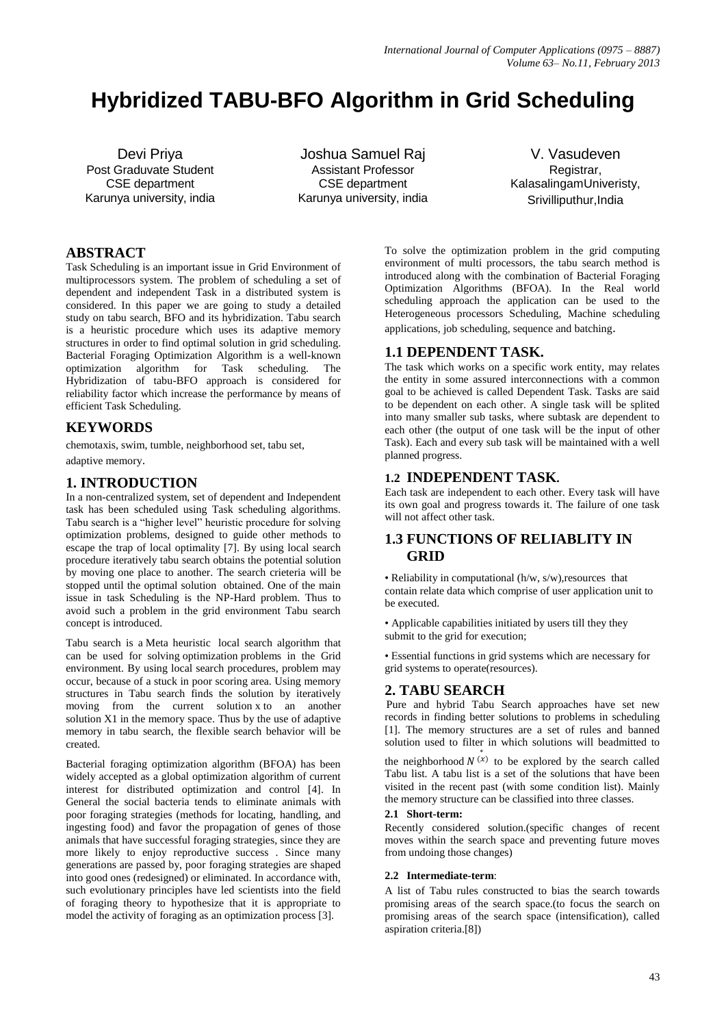# **Hybridized TABU-BFO Algorithm in Grid Scheduling**

Devi Priya Post Graduvate Student CSE department Karunya university, india

Joshua Samuel Raj Assistant Professor CSE department Karunya university, india

V. Vasudeven Registrar, KalasalingamUniveristy, Srivilliputhur,India

## **ABSTRACT**

Task Scheduling is an important issue in Grid Environment of multiprocessors system. The problem of scheduling a set of dependent and independent Task in a distributed system is considered. In this paper we are going to study a detailed study on tabu search, BFO and its hybridization. Tabu search is a heuristic procedure which uses its adaptive memory structures in order to find optimal solution in grid scheduling. Bacterial Foraging Optimization Algorithm is a well-known optimization algorithm for Task scheduling. The Hybridization of tabu-BFO approach is considered for reliability factor which increase the performance by means of efficient Task Scheduling.

# **KEYWORDS**

chemotaxis, swim, tumble, neighborhood set, tabu set,

adaptive memory.

# **1. INTRODUCTION**

In a non-centralized system, set of dependent and Independent task has been scheduled using Task scheduling algorithms. Tabu search is a "higher level" heuristic procedure for solving optimization problems, designed to guide other methods to escape the trap of local optimality [7]. By using local search procedure iteratively tabu search obtains the potential solution by moving one place to another. The search crieteria will be stopped until the optimal solution obtained. One of the main issue in task Scheduling is the NP-Hard problem. Thus to avoid such a problem in the grid environment Tabu search concept is introduced.

Tabu search is a [Meta heuristic](http://en.wikipedia.org/wiki/Metaheuristic) local search algorithm that can be used for solving [optimization](http://en.wikipedia.org/wiki/Combinatorial_optimization) problems in the Grid environment. By using local search procedures, problem may occur, because of a stuck in poor scoring area. Using memory structures in Tabu search finds the solution by iteratively moving from the current solution x to an another solution X1 in the memory space. Thus by the use of adaptive memory in tabu search, the flexible search behavior will be created.

Bacterial foraging optimization algorithm (BFOA) has been widely accepted as a global optimization algorithm of current interest for distributed optimization and control [4]. In General the social bacteria tends to eliminate animals with poor foraging strategies (methods for locating, handling, and ingesting food) and favor the propagation of genes of those animals that have successful foraging strategies, since they are more likely to enjoy reproductive success . Since many generations are passed by, poor foraging strategies are shaped into good ones (redesigned) or eliminated. In accordance with, such evolutionary principles have led scientists into the field of foraging theory to hypothesize that it is appropriate to model the activity of foraging as an optimization process [3].

To solve the optimization problem in the grid computing environment of multi processors, the tabu search method is introduced along with the combination of Bacterial Foraging Optimization Algorithms (BFOA). In the Real world scheduling approach the application can be used to the Heterogeneous processors Scheduling, Machine scheduling applications, job scheduling, sequence and batching.

# **1.1 DEPENDENT TASK.**

The task which works on a specific work entity, may relates the entity in some assured interconnections with a common goal to be achieved is called Dependent Task. Tasks are said to be dependent on each other. A single task will be splited into many smaller sub tasks, where subtask are dependent to each other (the output of one task will be the input of other Task). Each and every sub task will be maintained with a well planned progress.

## **1.2 INDEPENDENT TASK.**

Each task are independent to each other. Every task will have its own goal and progress towards it. The failure of one task will not affect other task.

# **1.3 FUNCTIONS OF RELIABLITY IN GRID**

• Reliability in computational (h/w, s/w),resources that contain relate data which comprise of user application unit to be executed.

• Applicable capabilities initiated by users till they they submit to the grid for execution;

• Essential functions in grid systems which are necessary for grid systems to operate(resources).

## **2. TABU SEARCH**

Pure and hybrid Tabu Search approaches have set new records in finding better solutions to problems in scheduling [1]. The memory structures are a set of rules and banned solution used to filter in which solutions will beadmitted to

the neighborhood  $N^{(x)}$  to be explored by the search called Tabu list. A tabu list is a set of the solutions that have been visited in the recent past (with some condition list). Mainly the memory structure can be classified into three classes.

#### **2.1 Short-term:**

Recently considered solution.(specific changes of recent moves within the search space and preventing future moves from undoing those changes)

## **2.2 Intermediate-term**:

A list of Tabu rules constructed to bias the search towards promising areas of the search space.(to focus the search on promising areas of the search space (intensification), called aspiration criteria.[8])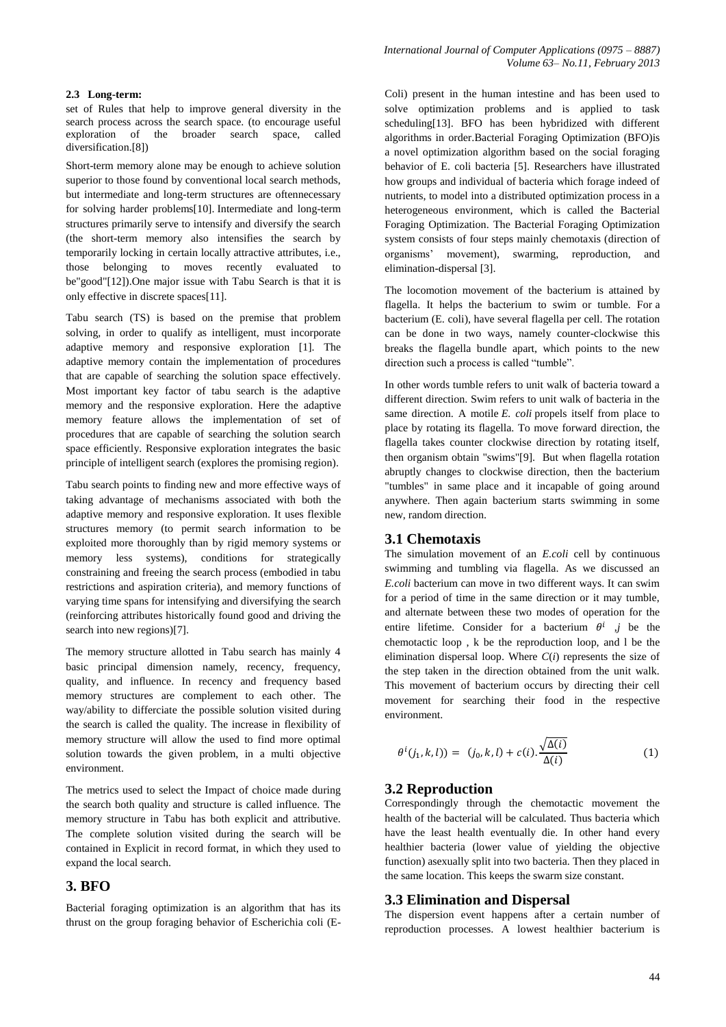#### **2.3 Long-term:**

set of Rules that help to improve general diversity in the search process across the search space. (to encourage useful exploration of the broader search space, called diversification.[8])

Short-term memory alone may be enough to achieve solution superior to those found by conventional local search methods, but intermediate and long-term structures are oftennecessary for solving harder problems[10]. Intermediate and long-term structures primarily serve to intensify and diversify the search (the short-term memory also intensifies the search by temporarily locking in certain locally attractive attributes, i.e., those belonging to moves recently evaluated to be"good"[12]).One major issue with Tabu Search is that it is only effective in discrete spaces[11].

Tabu search (TS) is based on the premise that problem solving, in order to qualify as intelligent, must incorporate adaptive memory and responsive exploration [1]. The adaptive memory contain the implementation of procedures that are capable of searching the solution space effectively. Most important key factor of tabu search is the adaptive memory and the responsive exploration. Here the adaptive memory feature allows the implementation of set of procedures that are capable of searching the solution search space efficiently. Responsive exploration integrates the basic principle of intelligent search (explores the promising region).

Tabu search points to finding new and more effective ways of taking advantage of mechanisms associated with both the adaptive memory and responsive exploration. It uses flexible structures memory (to permit search information to be exploited more thoroughly than by rigid memory systems or memory less systems), conditions for strategically constraining and freeing the search process (embodied in tabu restrictions and aspiration criteria), and memory functions of varying time spans for intensifying and diversifying the search (reinforcing attributes historically found good and driving the search into new regions)[7].

The memory structure allotted in Tabu search has mainly 4 basic principal dimension namely, recency, frequency, quality, and influence. In recency and frequency based memory structures are complement to each other. The way/ability to differciate the possible solution visited during the search is called the quality. The increase in flexibility of memory structure will allow the used to find more optimal solution towards the given problem, in a multi objective environment.

The metrics used to select the Impact of choice made during the search both quality and structure is called influence. The memory structure in Tabu has both explicit and attributive. The complete solution visited during the search will be contained in Explicit in record format, in which they used to expand the local search.

## **3. BFO**

Bacterial foraging optimization is an algorithm that has its thrust on the group foraging behavior of Escherichia coli (E-

Coli) present in the human intestine and has been used to solve optimization problems and is applied to task scheduling[13]. BFO has been hybridized with different algorithms in order.Bacterial Foraging Optimization (BFO)is a novel optimization algorithm based on the social foraging behavior of E. coli bacteria [5]. Researchers have illustrated how groups and individual of bacteria which forage indeed of nutrients, to model into a distributed optimization process in a heterogeneous environment, which is called the Bacterial Foraging Optimization. The Bacterial Foraging Optimization system consists of four steps mainly chemotaxis (direction of organisms' movement), swarming, reproduction, and elimination-dispersal [3].

The locomotion movement of the bacterium is attained by flagella. It helps the bacterium to swim or tumble. For a bacterium [\(E. coli\)](http://en.wikipedia.org/wiki/E._coli), have several [flagella](http://en.wikipedia.org/wiki/Flagellum) per cell. The rotation can be done in two ways, namely counter-clockwise this breaks the flagella bundle apart, which points to the new direction such a process is called "tumble".

In other words tumble refers to unit walk of bacteria toward a different direction. Swim refers to unit walk of bacteria in the same direction. A motile *E. coli* propels itself from place to place by rotating its flagella. To move forward direction, the flagella takes counter clockwise direction by rotating itself, then organism obtain "swims"[9]. But when flagella rotation abruptly changes to clockwise direction, then the bacterium "tumbles" in same place and it incapable of going around anywhere. Then again bacterium starts swimming in some new, random direction.

#### **3.1 Chemotaxis**

The simulation movement of an *E.coli* cell by continuous swimming and tumbling via flagella. As we discussed an *E.coli* bacterium can move in two different ways. It can swim for a period of time in the same direction or it may tumble, and alternate between these two modes of operation for the entire lifetime. Consider for a bacterium  $\theta^i$  *j* be the chemotactic loop , k be the reproduction loop, and l be the elimination dispersal loop. Where *C*(*i*) represents the size of the step taken in the direction obtained from the unit walk. This movement of bacterium occurs by directing their cell movement for searching their food in the respective environment.

$$
\theta^{i}(j_1, k, l)) = (j_0, k, l) + c(i) \cdot \frac{\sqrt{\Delta(i)}}{\Delta(i)}
$$
(1)

## **3.2 Reproduction**

Correspondingly through the chemotactic movement the health of the bacterial will be calculated. Thus bacteria which have the least health eventually die. In other hand every healthier bacteria (lower value of yielding the objective function) asexually split into two bacteria. Then they placed in the same location. This keeps the swarm size constant.

#### **3.3 Elimination and Dispersal**

The dispersion event happens after a certain number of reproduction processes. A lowest healthier bacterium is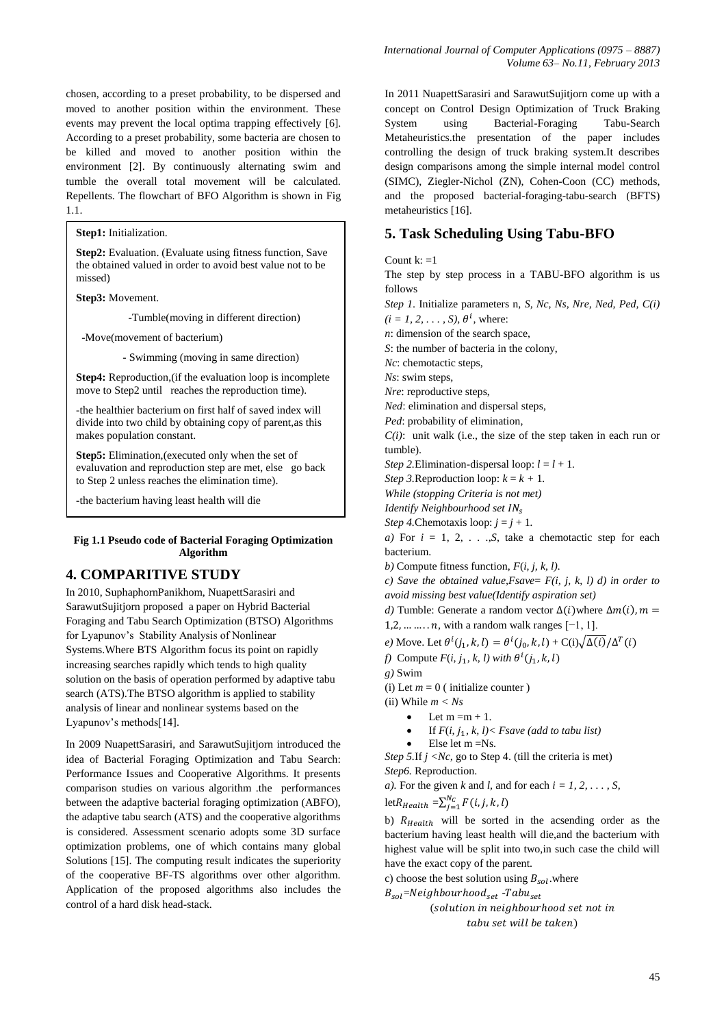chosen, according to a preset probability, to be dispersed and moved to another position within the environment. These events may prevent the local optima trapping effectively [6]. According to a preset probability, some bacteria are chosen to be killed and moved to another position within the environment [2]. By continuously alternating swim and tumble the overall total movement will be calculated. Repellents. The flowchart of BFO Algorithm is shown in Fig 1.1.

**Step1:** Initialization.

**Step2:** Evaluation. (Evaluate using fitness function, Save the obtained valued in order to avoid best value not to be missed)

**Step3:** Movement.

-Tumble(moving in different direction)

-Move(movement of bacterium)

- Swimming (moving in same direction)

**Step4:** Reproduction,(if the evaluation loop is incomplete move to Step2 until reaches the reproduction time).

-the healthier bacterium on first half of saved index will divide into two child by obtaining copy of parent,as this makes population constant.

**Step5:** Elimination,(executed only when the set of evaluvation and reproduction step are met, else go back to Step 2 unless reaches the elimination time).

-the bacterium having least health will die

#### **Fig 1.1 Pseudo code of Bacterial Foraging Optimization Algorithm**

## **4. COMPARITIVE STUDY**

In 2010, SuphaphornPanikhom, NuapettSarasiri and SarawutSujitjorn proposed a paper on Hybrid Bacterial Foraging and Tabu Search Optimization (BTSO) Algorithms for Lyapunov's Stability Analysis of Nonlinear Systems.Where BTS Algorithm focus its point on rapidly increasing searches rapidly which tends to high quality solution on the basis of operation performed by adaptive tabu search (ATS).The BTSO algorithm is applied to stability analysis of linear and nonlinear systems based on the Lyapunov's methods[14].

In 2009 NuapettSarasiri, and SarawutSujitjorn introduced the idea of Bacterial Foraging Optimization and Tabu Search: Performance Issues and Cooperative Algorithms. It presents comparison studies on various algorithm .the performances between the adaptive bacterial foraging optimization (ABFO), the adaptive tabu search (ATS) and the cooperative algorithms is considered. Assessment scenario adopts some 3D surface optimization problems, one of which contains many global Solutions [15]. The computing result indicates the superiority of the cooperative BF-TS algorithms over other algorithm. Application of the proposed algorithms also includes the control of a hard disk head-stack.

In 2011 NuapettSarasiri and SarawutSujitjorn come up with a concept on Control Design Optimization of Truck Braking System using Bacterial-Foraging Tabu-Search Metaheuristics.the presentation of the paper includes controlling the design of truck braking system.It describes design comparisons among the simple internal model control (SIMC), Ziegler-Nichol (ZN), Cohen-Coon (CC) methods, and the proposed bacterial-foraging-tabu-search (BFTS) metaheuristics [16].

## **5. Task Scheduling Using Tabu-BFO**

Count  $k: =1$ 

The step by step process in a TABU-BFO algorithm is us follows

*Step 1*. Initialize parameters n, *S, Nc, Ns, Nre, Ned, Ped, C(i)* 

 $(i = 1, 2, \ldots, S)$ ,  $\theta^{i}$ , where:

*n*: dimension of the search space,

*S*: the number of bacteria in the colony,

*Nc*: chemotactic steps,

*Ns*: swim steps,

*Nre*: reproductive steps,

*Ned*: elimination and dispersal steps,

*Ped*: probability of elimination, *C(i)*: unit walk (i.e., the size of the step taken in each run or

tumble).

*Step* 2. Elimination-dispersal loop:  $l = l + 1$ .

*Step 3.* Reproduction loop:  $k = k + 1$ .

*While (stopping Criteria is not met)*

*Identify Neighbourhood set* 

*Step 4.* Chemotaxis loop:  $j = j + 1$ .

*a*) For  $i = 1, 2, \ldots$ ,*S*, take a chemotactic step for each bacterium.

*b)* Compute fitness function, *F*(*i, j, k, l).*

*c) Save the obtained value,Fsave*= *F(i, j, k, l) d) in order to avoid missing best value(Identify aspiration set)*

*d*) Tumble: Generate a random vector  $\Delta(i)$  where  $\Delta m(i)$ ,  $m =$ 

 $1, 2, \ldots, n$ , with a random walk ranges  $[-1, 1]$ .

*e*) Move. Let  $\theta^{i}(j_1, k, l) = \theta^{i}(j_0, k, l) + C(i) \sqrt{\Delta(i)} / \Delta^{T}$ 

*f*) Compute  $F(i, j_1, k, l)$  with  $\theta^i$ 

*g)* Swim

(i) Let  $m = 0$  ( initialize counter )

(ii) While *m < Ns* 

Let  $m = m + 1$ .

If  $F(i, j_1, k, l)$  < *Fsave* (add to tabu list)

Else let m =Ns.

*Step 5.If*  $i < Nc$ *, go to Step 4. (till the criteria is met) Step6.* Reproduction.

*a*). For the given *k* and *l*, and for each  $i = 1, 2, \ldots, S$ ,

let $R_{Health} = \sum_{j=1}^{N}$ 

b)  $R_{Health}$  will be sorted in the acsending order as the bacterium having least health will die,and the bacterium with highest value will be split into two,in such case the child will have the exact copy of the parent.

c) choose the best solution using  $B_{sol}$  where

 $B_{sol}$ =Neighbourhood<sub>set</sub> -Tabu<sub>set</sub> (solution in neighbourhood set not in

tabu set will be taken)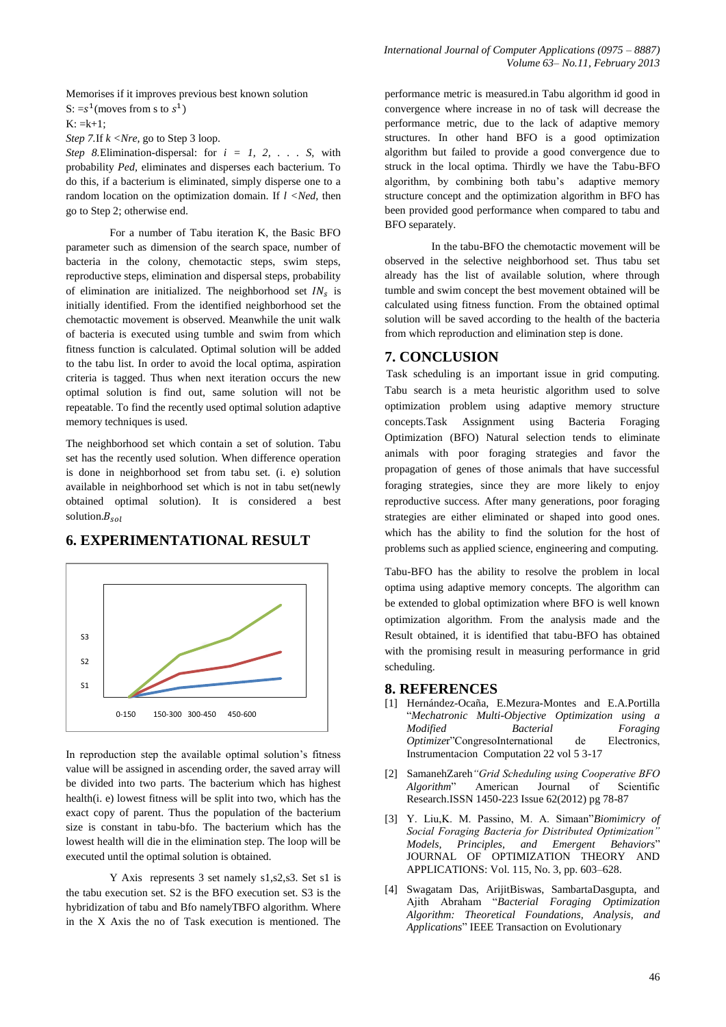Memorises if it improves previous best known solution S:  $=s^1$ (moves from s to  $s^1$ )

 $K: = k+1$ :

*Step 7.*If *k <Nre,* go to Step 3 loop.

*Step 8.*Elimination-dispersal: for *i = 1, 2, . . . S,* with probability *Ped,* eliminates and disperses each bacterium. To do this, if a bacterium is eliminated, simply disperse one to a random location on the optimization domain. If *l <Ned,* then go to Step 2; otherwise end.

For a number of Tabu iteration K, the Basic BFO parameter such as dimension of the search space, number of bacteria in the colony, chemotactic steps, swim steps, reproductive steps, elimination and dispersal steps, probability of elimination are initialized. The neighborhood set  $IN<sub>s</sub>$  is initially identified. From the identified neighborhood set the chemotactic movement is observed. Meanwhile the unit walk of bacteria is executed using tumble and swim from which fitness function is calculated. Optimal solution will be added to the tabu list. In order to avoid the local optima, aspiration criteria is tagged. Thus when next iteration occurs the new optimal solution is find out, same solution will not be repeatable. To find the recently used optimal solution adaptive memory techniques is used.

The neighborhood set which contain a set of solution. Tabu set has the recently used solution. When difference operation is done in neighborhood set from tabu set. (i. e) solution available in neighborhood set which is not in tabu set(newly obtained optimal solution). It is considered a best solution. $B_{sol}$ 

# **6. EXPERIMENTATIONAL RESULT**



In reproduction step the available optimal solution's fitness value will be assigned in ascending order, the saved array will be divided into two parts. The bacterium which has highest health(i. e) lowest fitness will be split into two, which has the exact copy of parent. Thus the population of the bacterium size is constant in tabu-bfo. The bacterium which has the lowest health will die in the elimination step. The loop will be executed until the optimal solution is obtained.

Y Axis represents 3 set namely s1,s2,s3. Set s1 is the tabu execution set. S2 is the BFO execution set. S3 is the hybridization of tabu and Bfo namelyTBFO algorithm. Where in the X Axis the no of Task execution is mentioned. The

performance metric is measured.in Tabu algorithm id good in convergence where increase in no of task will decrease the performance metric, due to the lack of adaptive memory structures. In other hand BFO is a good optimization algorithm but failed to provide a good convergence due to struck in the local optima. Thirdly we have the Tabu-BFO algorithm, by combining both tabu's adaptive memory structure concept and the optimization algorithm in BFO has been provided good performance when compared to tabu and BFO separately.

In the tabu-BFO the chemotactic movement will be observed in the selective neighborhood set. Thus tabu set already has the list of available solution, where through tumble and swim concept the best movement obtained will be calculated using fitness function. From the obtained optimal solution will be saved according to the health of the bacteria from which reproduction and elimination step is done.

## **7. CONCLUSION**

Task scheduling is an important issue in grid computing. Tabu search is a meta heuristic algorithm used to solve optimization problem using adaptive memory structure concepts.Task Assignment using Bacteria Foraging Optimization (BFO) Natural selection tends to eliminate animals with poor foraging strategies and favor the propagation of genes of those animals that have successful foraging strategies, since they are more likely to enjoy reproductive success. After many generations, poor foraging strategies are either eliminated or shaped into good ones. which has the ability to find the solution for the host of problems such as applied science, engineering and computing.

Tabu-BFO has the ability to resolve the problem in local optima using adaptive memory concepts. The algorithm can be extended to global optimization where BFO is well known optimization algorithm. From the analysis made and the Result obtained, it is identified that tabu-BFO has obtained with the promising result in measuring performance in grid scheduling.

## **8. REFERENCES**

- [1] Hernández-Ocaña, E.Mezura-Montes and E.A.Portilla "*Mechatronic Multi-Objective Optimization using a Modified Bacterial Foraging*<br> *Optimizet Congresolnternational* de Electronics, *Optimizer*"CongresoInternational de Instrumentacion Computation 22 vol 5 3-17
- [2] SamanehZareh*"Grid Scheduling using Cooperative BFO Algorithm*" American Journal of Scientific Research.ISSN 1450-223 Issue 62(2012) pg 78-87
- [3] Y. Liu,K. M. Passino, M. A. Simaan"*Biomimicry of Social Foraging Bacteria for Distributed Optimization" Models, Principles, and Emergent Behaviors*" JOURNAL OF OPTIMIZATION THEORY AND APPLICATIONS: Vol. 115, No. 3, pp. 603–628.
- [4] Swagatam Das, ArijitBiswas, SambartaDasgupta, and Ajith Abraham "*Bacterial Foraging Optimization Algorithm: Theoretical Foundations, Analysis, and Applications*" IEEE Transaction on Evolutionary